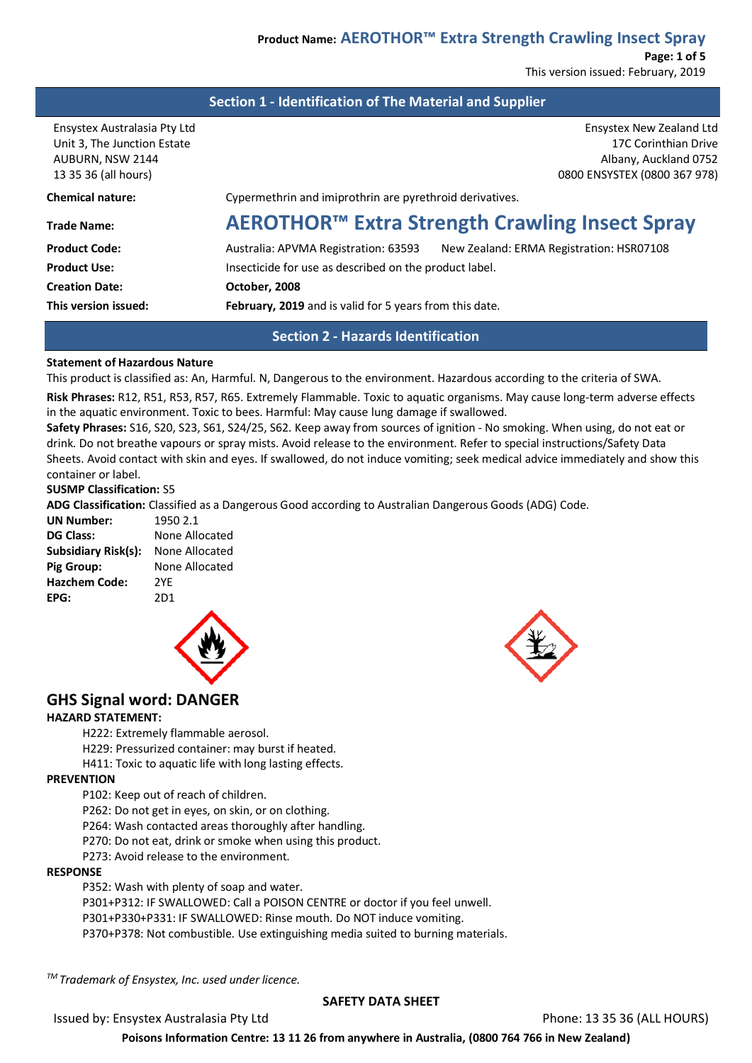**Page: 1 of 5** This version issued: February, 2019

# **Section 1 - Identification of The Material and Supplier**

Ensystex Australasia Pty Ltd Ensystex New Zealand Ltd Unit 3, The Junction Estate 17C Corinthian Drive 17C Corinthian Drive AUBURN, NSW 2144 AUBURN, Auckland 0752

| <b>Chemical nature:</b><br>Cypermethrin and imiprothrin are pyrethroid derivatives.<br><b>Trade Name:</b><br><b>Product Code:</b><br>Australia: APVMA Registration: 63593<br><b>Product Use:</b><br>Insecticide for use as described on the product label.<br><b>Creation Date:</b><br>October, 2008 | This version issued: | February, 2019 and is valid for 5 years from this date. |  |
|------------------------------------------------------------------------------------------------------------------------------------------------------------------------------------------------------------------------------------------------------------------------------------------------------|----------------------|---------------------------------------------------------|--|
|                                                                                                                                                                                                                                                                                                      |                      |                                                         |  |
|                                                                                                                                                                                                                                                                                                      |                      |                                                         |  |
|                                                                                                                                                                                                                                                                                                      |                      | New Zealand: ERMA Registration: HSR07108                |  |
|                                                                                                                                                                                                                                                                                                      |                      | AEROTHOR™ Extra Strength Crawling Insect Spray          |  |
|                                                                                                                                                                                                                                                                                                      |                      |                                                         |  |
|                                                                                                                                                                                                                                                                                                      | 13 35 36 (all hours) | 0800 ENSYSTEX (0800 367 978)                            |  |

# **Section 2 - Hazards Identification**

#### **Statement of Hazardous Nature**

This product is classified as: An, Harmful. N, Dangerous to the environment. Hazardous according to the criteria of SWA.

**Risk Phrases:** R12, R51, R53, R57, R65. Extremely Flammable. Toxic to aquatic organisms. May cause long-term adverse effects in the aquatic environment. Toxic to bees. Harmful: May cause lung damage if swallowed.

**Safety Phrases:** S16, S20, S23, S61, S24/25, S62. Keep away from sources of ignition - No smoking. When using, do not eat or drink. Do not breathe vapours or spray mists. Avoid release to the environment. Refer to special instructions/Safety Data Sheets. Avoid contact with skin and eyes. If swallowed, do not induce vomiting; seek medical advice immediately and show this container or label.

#### **SUSMP Classification:** S5

**ADG Classification:** Classified as a Dangerous Good according to Australian Dangerous Goods (ADG) Code.

| <b>UN Number:</b>    | 1950 2.1       |
|----------------------|----------------|
| <b>DG Class:</b>     | None Allocated |
| Subsidiary Risk(s):  | None Allocated |
| <b>Pig Group:</b>    | None Allocated |
| <b>Hazchem Code:</b> | 2YF            |
| EPG:                 | 2D1            |



# **GHS Signal word: DANGER**

#### **HAZARD STATEMENT:**

H222: Extremely flammable aerosol.

H229: Pressurized container: may burst if heated.

H411: Toxic to aquatic life with long lasting effects.

#### **PREVENTION**

P102: Keep out of reach of children.

P262: Do not get in eyes, on skin, or on clothing.

P264: Wash contacted areas thoroughly after handling.

P270: Do not eat, drink or smoke when using this product.

P273: Avoid release to the environment.

#### **RESPONSE**

P352: Wash with plenty of soap and water.

P301+P312: IF SWALLOWED: Call a POISON CENTRE or doctor if you feel unwell.

P301+P330+P331: IF SWALLOWED: Rinse mouth. Do NOT induce vomiting.

P370+P378: Not combustible. Use extinguishing media suited to burning materials.

*TM Trademark of Ensystex, Inc. used under licence.*

#### **SAFETY DATA SHEET**

Issued by: Ensystex Australasia Pty Ltd Phone: 13 35 36 (ALL HOURS)

**Poisons Information Centre: 13 11 26 from anywhere in Australia, (0800 764 766 in New Zealand)**

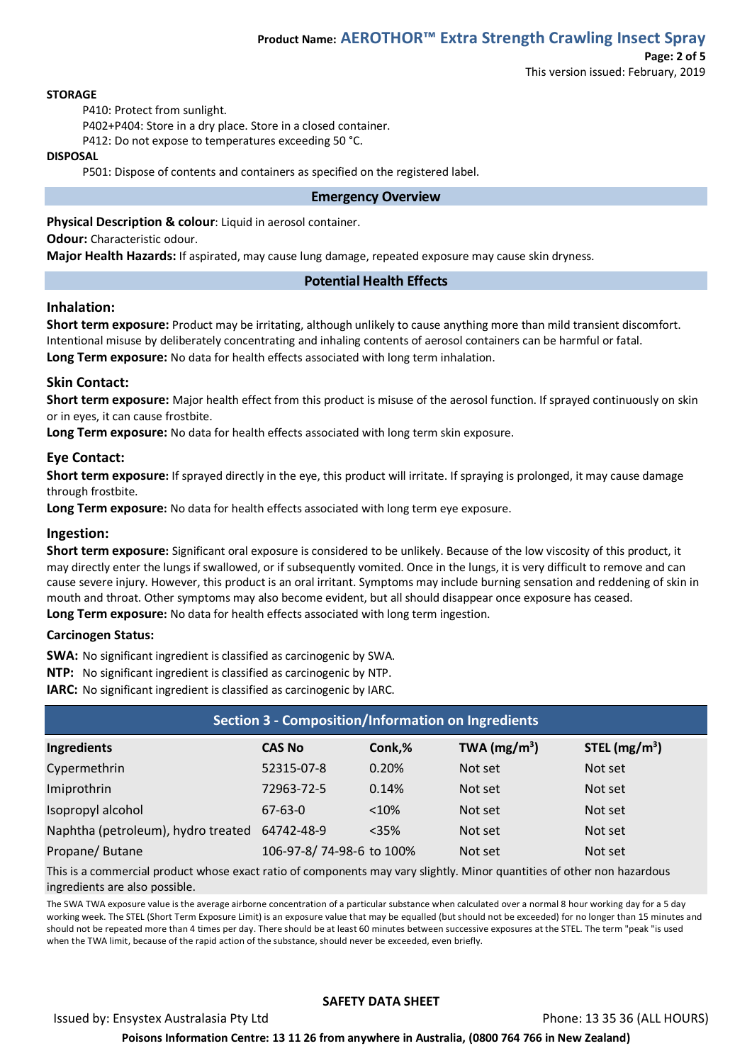#### **STORAGE**

P410: Protect from sunlight.

P402+P404: Store in a dry place. Store in a closed container.

P412: Do not expose to temperatures exceeding 50 °C.

#### **DISPOSAL**

P501: Dispose of contents and containers as specified on the registered label.

#### **Emergency Overview**

**Physical Description & colour**: Liquid in aerosol container.

**Odour:** Characteristic odour.

**Major Health Hazards:** If aspirated, may cause lung damage, repeated exposure may cause skin dryness.

#### **Potential Health Effects**

#### **Inhalation:**

**Short term exposure:** Product may be irritating, although unlikely to cause anything more than mild transient discomfort. Intentional misuse by deliberately concentrating and inhaling contents of aerosol containers can be harmful or fatal. **Long Term exposure:** No data for health effects associated with long term inhalation.

#### **Skin Contact:**

**Short term exposure:** Major health effect from this product is misuse of the aerosol function. If sprayed continuously on skin or in eyes, it can cause frostbite.

**Long Term exposure:** No data for health effects associated with long term skin exposure.

#### **Eye Contact:**

**Short term exposure:** If sprayed directly in the eye, this product will irritate. If spraying is prolonged, it may cause damage through frostbite.

**Long Term exposure:** No data for health effects associated with long term eye exposure.

#### **Ingestion:**

**Short term exposure:** Significant oral exposure is considered to be unlikely. Because of the low viscosity of this product, it may directly enter the lungs if swallowed, or if subsequently vomited. Once in the lungs, it is very difficult to remove and can cause severe injury. However, this product is an oral irritant. Symptoms may include burning sensation and reddening of skin in mouth and throat. Other symptoms may also become evident, but all should disappear once exposure has ceased. **Long Term exposure:** No data for health effects associated with long term ingestion.

#### **Carcinogen Status:**

**SWA:** No significant ingredient is classified as carcinogenic by SWA.

**NTP:** No significant ingredient is classified as carcinogenic by NTP.

**IARC:** No significant ingredient is classified as carcinogenic by IARC.

| <b>Section 3 - Composition/Information on Ingredients</b> |                          |         |                |                |
|-----------------------------------------------------------|--------------------------|---------|----------------|----------------|
| Ingredients                                               | <b>CAS No</b>            | Conk,%  | TWA $(mg/m^3)$ | STEL $(mg/m3)$ |
| Cypermethrin                                              | 52315-07-8               | 0.20%   | Not set        | Not set        |
| Imiprothrin                                               | 72963-72-5               | 0.14%   | Not set        | Not set        |
| Isopropyl alcohol                                         | $67 - 63 - 0$            | < 10%   | Not set        | Not set        |
| Naphtha (petroleum), hydro treated                        | 64742-48-9               | $<$ 35% | Not set        | Not set        |
| Propane/Butane                                            | 106-97-8/74-98-6 to 100% |         | Not set        | Not set        |

This is a commercial product whose exact ratio of components may vary slightly. Minor quantities of other non hazardous ingredients are also possible.

The SWA TWA exposure value is the average airborne concentration of a particular substance when calculated over a normal 8 hour working day for a 5 day working week. The STEL (Short Term Exposure Limit) is an exposure value that may be equalled (but should not be exceeded) for no longer than 15 minutes and should not be repeated more than 4 times per day. There should be at least 60 minutes between successive exposures at the STEL. The term "peak "is used when the TWA limit, because of the rapid action of the substance, should never be exceeded, even briefly.

#### **SAFETY DATA SHEET**

Issued by: Ensystex Australasia Pty Ltd Phone: 13 35 36 (ALL HOURS)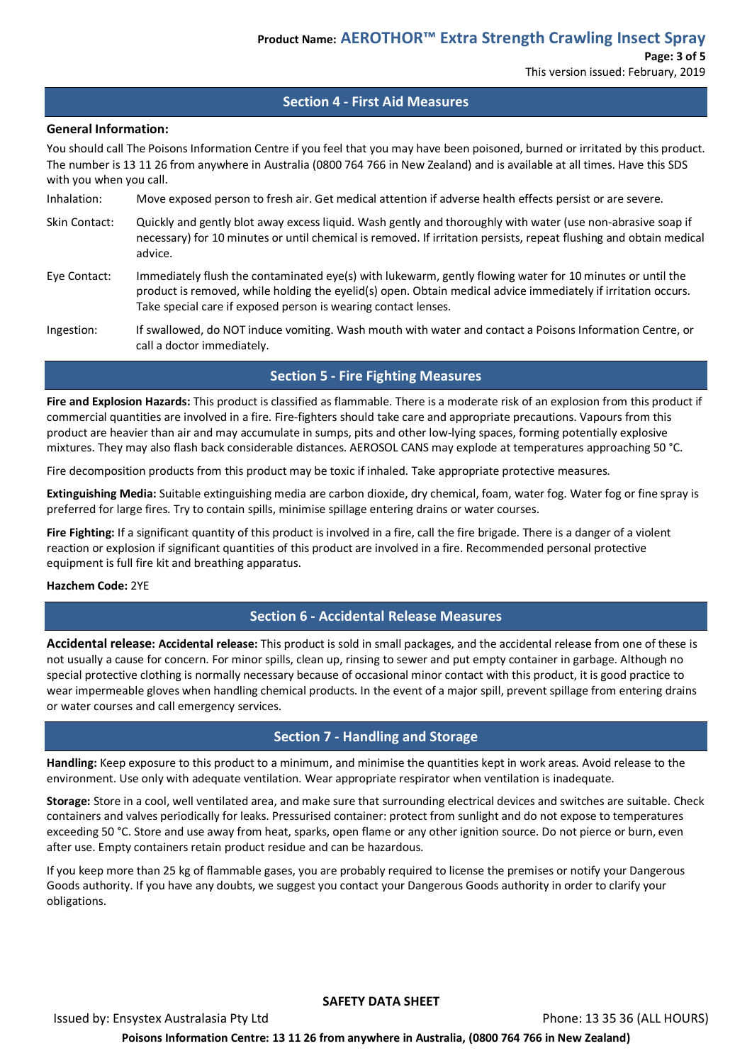# **Section 4 - First Aid Measures**

#### **General Information:**

You should call The Poisons Information Centre if you feel that you may have been poisoned, burned or irritated by this product. The number is 13 11 26 from anywhere in Australia (0800 764 766 in New Zealand) and is available at all times. Have this SDS with you when you call.

- Inhalation: Move exposed person to fresh air. Get medical attention if adverse health effects persist or are severe.
- Skin Contact: Quickly and gently blot away excess liquid. Wash gently and thoroughly with water (use non-abrasive soap if necessary) for 10 minutes or until chemical is removed. If irritation persists, repeat flushing and obtain medical advice.
- Eye Contact: Immediately flush the contaminated eye(s) with lukewarm, gently flowing water for 10 minutes or until the product is removed, while holding the eyelid(s) open. Obtain medical advice immediately if irritation occurs. Take special care if exposed person is wearing contact lenses.
- Ingestion: If swallowed, do NOT induce vomiting. Wash mouth with water and contact a Poisons Information Centre, or call a doctor immediately.

# **Section 5 - Fire Fighting Measures**

**Fire and Explosion Hazards:** This product is classified as flammable. There is a moderate risk of an explosion from this product if commercial quantities are involved in a fire. Fire-fighters should take care and appropriate precautions. Vapours from this product are heavier than air and may accumulate in sumps, pits and other low-lying spaces, forming potentially explosive mixtures. They may also flash back considerable distances. AEROSOL CANS may explode at temperatures approaching 50 °C.

Fire decomposition products from this product may be toxic if inhaled. Take appropriate protective measures.

**Extinguishing Media:** Suitable extinguishing media are carbon dioxide, dry chemical, foam, water fog. Water fog or fine spray is preferred for large fires. Try to contain spills, minimise spillage entering drains or water courses.

**Fire Fighting:** If a significant quantity of this product is involved in a fire, call the fire brigade. There is a danger of a violent reaction or explosion if significant quantities of this product are involved in a fire. Recommended personal protective equipment is full fire kit and breathing apparatus.

#### **Hazchem Code:** 2YE

# **Section 6 - Accidental Release Measures**

**Accidental release: Accidental release:** This product is sold in small packages, and the accidental release from one of these is not usually a cause for concern. For minor spills, clean up, rinsing to sewer and put empty container in garbage. Although no special protective clothing is normally necessary because of occasional minor contact with this product, it is good practice to wear impermeable gloves when handling chemical products. In the event of a major spill, prevent spillage from entering drains or water courses and call emergency services.

# **Section 7 - Handling and Storage**

**Handling:** Keep exposure to this product to a minimum, and minimise the quantities kept in work areas. Avoid release to the environment. Use only with adequate ventilation. Wear appropriate respirator when ventilation is inadequate.

**Storage:** Store in a cool, well ventilated area, and make sure that surrounding electrical devices and switches are suitable. Check containers and valves periodically for leaks. Pressurised container: protect from sunlight and do not expose to temperatures exceeding 50 °C. Store and use away from heat, sparks, open flame or any other ignition source. Do not pierce or burn, even after use. Empty containers retain product residue and can be hazardous.

If you keep more than 25 kg of flammable gases, you are probably required to license the premises or notify your Dangerous Goods authority. If you have any doubts, we suggest you contact your Dangerous Goods authority in order to clarify your obligations.

#### **SAFETY DATA SHEET**

Issued by: Ensystex Australasia Pty Ltd Phone: 13 35 36 (ALL HOURS) **Poisons Information Centre: 13 11 26 from anywhere in Australia, (0800 764 766 in New Zealand)**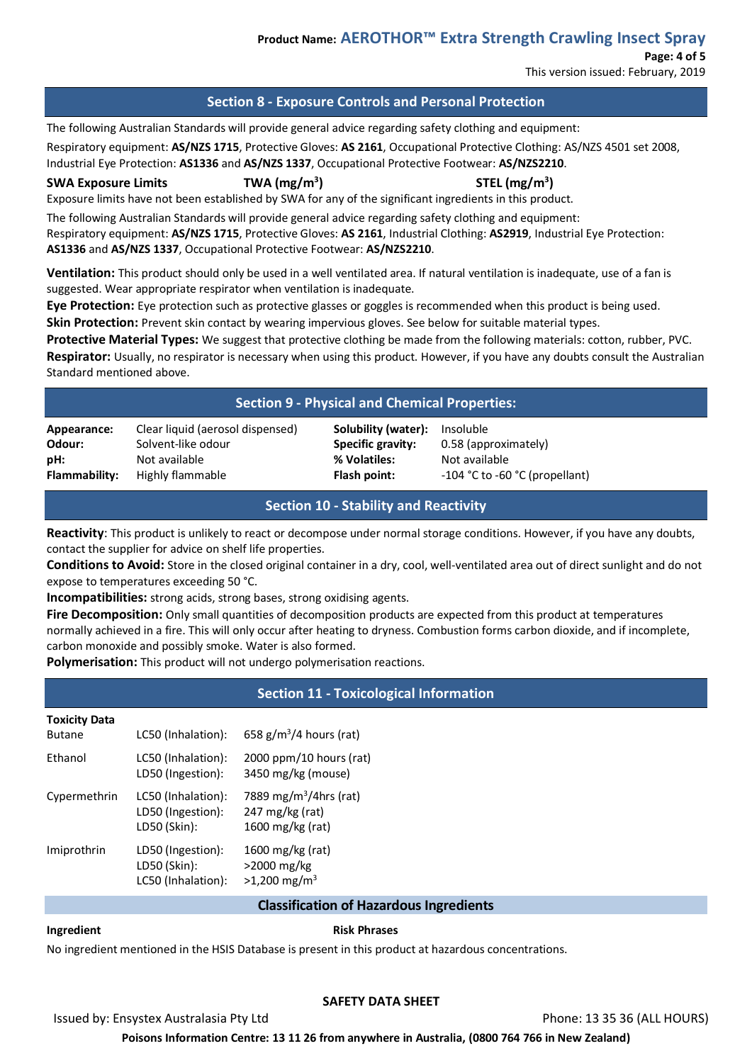# **Product Name: AEROTHOR™ Extra Strength Crawling Insect Spray**

**Page: 4 of 5** This version issued: February, 2019

# **Section 8 - Exposure Controls and Personal Protection**

The following Australian Standards will provide general advice regarding safety clothing and equipment: Respiratory equipment: **AS/NZS 1715**, Protective Gloves: **AS 2161**, Occupational Protective Clothing: AS/NZS 4501 set 2008, Industrial Eye Protection: **AS1336** and **AS/NZS 1337**, Occupational Protective Footwear: **AS/NZS2210**.

**SWA Exposure Limits TWA (mg/m3**

**) STEL (mg/m3 )**

0.58 (approximately) **Not available** 

**Flammability:** Highly flammable **Flash point:** -104 °C to -60 °C (propellant)

Exposure limits have not been established by SWA for any of the significant ingredients in this product.

The following Australian Standards will provide general advice regarding safety clothing and equipment: Respiratory equipment: **AS/NZS 1715**, Protective Gloves: **AS 2161**, Industrial Clothing: **AS2919**, Industrial Eye Protection: **AS1336** and **AS/NZS 1337**, Occupational Protective Footwear: **AS/NZS2210**.

**Ventilation:** This product should only be used in a well ventilated area. If natural ventilation is inadequate, use of a fan is suggested. Wear appropriate respirator when ventilation is inadequate.

**Eye Protection:** Eye protection such as protective glasses or goggles is recommended when this product is being used. **Skin Protection:** Prevent skin contact by wearing impervious gloves. See below for suitable material types.

**Protective Material Types:** We suggest that protective clothing be made from the following materials: cotton, rubber, PVC. **Respirator:** Usually, no respirator is necessary when using this product. However, if you have any doubts consult the Australian Standard mentioned above.

# **Section 9 - Physical and Chemical Properties:**

| Appearance:          | Clear liquid (aerosol dispensed) | Solubility (water): | Insoluble   |
|----------------------|----------------------------------|---------------------|-------------|
| Odour:               | Solvent-like odour               | Specific gravity:   | $0.58$ (app |
| pH:                  | Not available                    | % Volatiles:        | Not avail   |
| <b>Flammability:</b> | Highly flammable                 | Flash point:        | -104 °C to  |

# **Section 10 - Stability and Reactivity**

**Reactivity**: This product is unlikely to react or decompose under normal storage conditions. However, if you have any doubts, contact the supplier for advice on shelf life properties.

**Conditions to Avoid:** Store in the closed original container in a dry, cool, well-ventilated area out of direct sunlight and do not expose to temperatures exceeding 50 °C.

**Incompatibilities:** strong acids, strong bases, strong oxidising agents.

**Fire Decomposition:** Only small quantities of decomposition products are expected from this product at temperatures normally achieved in a fire. This will only occur after heating to dryness. Combustion forms carbon dioxide, and if incomplete, carbon monoxide and possibly smoke. Water is also formed.

**Polymerisation:** This product will not undergo polymerisation reactions.

# **Section 11 - Toxicological Information**

#### **Toxicity Data**

**Butane** 

| TUNICILY DULU |                    |                           |
|---------------|--------------------|---------------------------|
| Butane        | LC50 (Inhalation): | 658 $g/m^3/4$ hours (rat) |
| Ethanol       | LC50 (Inhalation): | $2000$ ppm/10 hours (rat) |

|              | LD50 (Ingestion):                                       | 3450 mg/kg (mouse)                                                        |
|--------------|---------------------------------------------------------|---------------------------------------------------------------------------|
| Cypermethrin | LC50 (Inhalation):<br>LD50 (Ingestion):<br>LD50 (Skin): | 7889 mg/m <sup>3</sup> /4hrs (rat)<br>247 mg/kg (rat)<br>1600 mg/kg (rat) |
| Imiprothrin  | LD50 (Ingestion):<br>LD50 (Skin):<br>LC50 (Inhalation): | 1600 mg/kg (rat)<br>>2000 mg/kg<br>$>1,200$ mg/m <sup>3</sup>             |

# **Classification of Hazardous Ingredients**

**Ingredient Risk Phrases** 

No ingredient mentioned in the HSIS Database is present in this product at hazardous concentrations.

# **SAFETY DATA SHEET**

Issued by: Ensystex Australasia Pty Ltd Phone: 13 35 36 (ALL HOURS)

**Poisons Information Centre: 13 11 26 from anywhere in Australia, (0800 764 766 in New Zealand)**